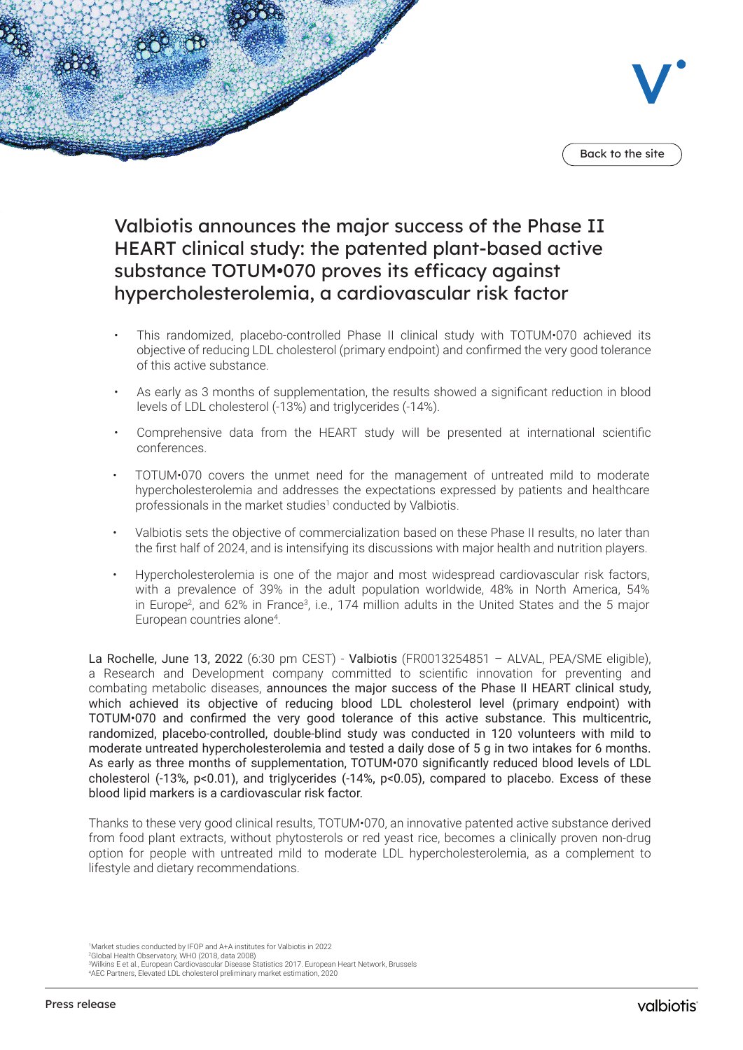

# Valbiotis announces the major success of the Phase II HEART clinical study: the patented plant-based active substance TOTUM•070 proves its efficacy against hypercholesterolemia, a cardiovascular risk factor

- This randomized, placebo-controlled Phase II clinical study with TOTUM•070 achieved its objective of reducing LDL cholesterol (primary endpoint) and confirmed the very good tolerance of this active substance.
- As early as 3 months of supplementation, the results showed a significant reduction in blood levels of LDL cholesterol (-13%) and triglycerides (-14%).
- Comprehensive data from the HEART study will be presented at international scientific conferences.
- TOTUM•070 covers the unmet need for the management of untreated mild to moderate hypercholesterolemia and addresses the expectations expressed by patients and healthcare professionals in the market studies<sup>1</sup> conducted by Valbiotis.
- Valbiotis sets the objective of commercialization based on these Phase II results, no later than the first half of 2024, and is intensifying its discussions with major health and nutrition players.
- Hypercholesterolemia is one of the major and most widespread cardiovascular risk factors, with a prevalence of 39% in the adult population worldwide, 48% in North America, 54% in Europe<sup>2</sup>, and 62% in France<sup>3</sup>, i.e., 174 million adults in the United States and the 5 major European countries alone<sup>4</sup>.

La Rochelle, June 13, 2022 (6:30 pm CEST) - Valbiotis (FR0013254851 – ALVAL, PEA/SME eligible), a Research and Development company committed to scientific innovation for preventing and combating metabolic diseases, announces the major success of the Phase II HEART clinical study, which achieved its objective of reducing blood LDL cholesterol level (primary endpoint) with TOTUM•070 and confirmed the very good tolerance of this active substance. This multicentric, randomized, placebo-controlled, double-blind study was conducted in 120 volunteers with mild to moderate untreated hypercholesterolemia and tested a daily dose of 5 g in two intakes for 6 months. As early as three months of supplementation, TOTUM•070 significantly reduced blood levels of LDL cholesterol (-13%, p<0.01), and triglycerides (-14%, p<0.05), compared to placebo. Excess of these blood lipid markers is a cardiovascular risk factor.

Thanks to these very good clinical results, TOTUM•070, an innovative patented active substance derived from food plant extracts, without phytosterols or red yeast rice, becomes a clinically proven non-drug option for people with untreated mild to moderate LDL hypercholesterolemia, as a complement to lifestyle and dietary recommendations.

1 Market studies conducted by IFOP and A+A institutes for Valbiotis in 2022

2 Global Health Observatory, WHO (2018, data 2008)

3 Wilkins E et al., European Cardiovascular Disease Statistics 2017. European Heart Network, Brussels 4 AEC Partners, Elevated LDL cholesterol preliminary market estimation, 2020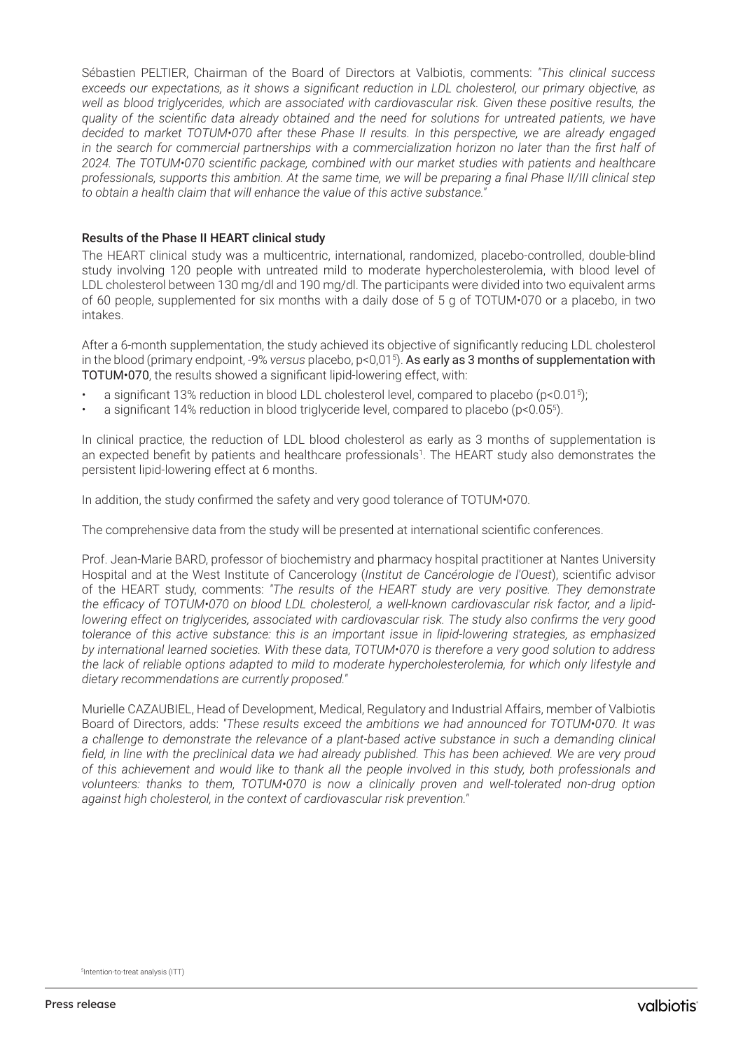Sébastien PELTIER, Chairman of the Board of Directors at Valbiotis, comments: *"This clinical success exceeds our expectations, as it shows a significant reduction in LDL cholesterol, our primary objective, as well as blood triglycerides, which are associated with cardiovascular risk. Given these positive results, the quality of the scientific data already obtained and the need for solutions for untreated patients, we have decided to market TOTUM•070 after these Phase II results. In this perspective, we are already engaged in the search for commercial partnerships with a commercialization horizon no later than the first half of 2024. The TOTUM•070 scientific package, combined with our market studies with patients and healthcare*  professionals, supports this ambition. At the same time, we will be preparing a final Phase II/III clinical step *to obtain a health claim that will enhance the value of this active substance."*

#### Results of the Phase II HEART clinical study

The HEART clinical study was a multicentric, international, randomized, placebo-controlled, double-blind study involving 120 people with untreated mild to moderate hypercholesterolemia, with blood level of LDL cholesterol between 130 mg/dl and 190 mg/dl. The participants were divided into two equivalent arms of 60 people, supplemented for six months with a daily dose of 5 g of TOTUM•070 or a placebo, in two intakes.

After a 6-month supplementation, the study achieved its objective of significantly reducing LDL cholesterol in the blood (primary endpoint, -9% *versus* placebo, p<0,015 ). As early as 3 months of supplementation with TOTUM•070, the results showed a significant lipid-lowering effect, with:

- $\,$  a significant 13% reduction in blood LDL cholesterol level, compared to placebo (p<0.015);
- a significant 14% reduction in blood triglyceride level, compared to placebo (p<0.055).

In clinical practice, the reduction of LDL blood cholesterol as early as 3 months of supplementation is an expected benefit by patients and healthcare professionals<sup>1</sup> . The HEART study also demonstrates the persistent lipid-lowering effect at 6 months.

In addition, the study confirmed the safety and very good tolerance of TOTUM•070.

The comprehensive data from the study will be presented at international scientific conferences.

Prof. Jean-Marie BARD, professor of biochemistry and pharmacy hospital practitioner at Nantes University Hospital and at the West Institute of Cancerology (*Institut de Cancérologie de l'Ouest*), scientific advisor of the HEART study, comments: *"The results of the HEART study are very positive. They demonstrate the efficacy of TOTUM•070 on blood LDL cholesterol, a well-known cardiovascular risk factor, and a lipidlowering effect on triglycerides, associated with cardiovascular risk. The study also confirms the very good tolerance of this active substance: this is an important issue in lipid-lowering strategies, as emphasized by international learned societies. With these data, TOTUM•070 is therefore a very good solution to address the lack of reliable options adapted to mild to moderate hypercholesterolemia, for which only lifestyle and dietary recommendations are currently proposed."* 

Murielle CAZAUBIEL, Head of Development, Medical, Regulatory and Industrial Affairs, member of Valbiotis Board of Directors, adds: *"These results exceed the ambitions we had announced for TOTUM•070. It was a challenge to demonstrate the relevance of a plant-based active substance in such a demanding clinical*  field, in line with the preclinical data we had already published. This has been achieved. We are very proud *of this achievement and would like to thank all the people involved in this study, both professionals and volunteers: thanks to them, TOTUM•070 is now a clinically proven and well-tolerated non-drug option against high cholesterol, in the context of cardiovascular risk prevention."*

<sup>5</sup> Intention-to-treat analysis (ITT)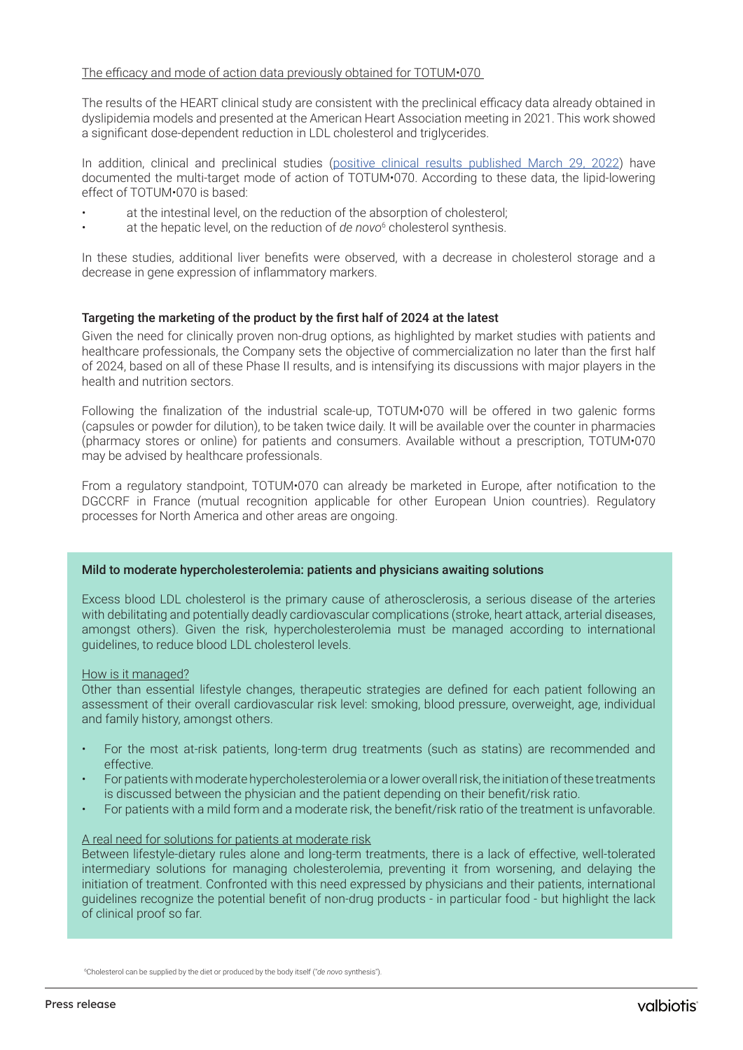#### The efficacy and mode of action data previously obtained for TOTUM•070

The results of the HEART clinical study are consistent with the preclinical efficacy data already obtained in dyslipidemia models and presented at the American Heart Association meeting in 2021. This work showed a significant dose-dependent reduction in LDL cholesterol and triglycerides.

In addition, clinical and preclinical studies ([positive clinical results published March 29, 2022](https://www.valbiotis.com/wp-content/uploads/2022/03/2022-03-29-PR_TOTUM070_MoA.pdf)) have documented the multi-target mode of action of TOTUM•070. According to these data, the lipid-lowering effect of TOTUM•070 is based:

- at the intestinal level, on the reduction of the absorption of cholesterol;
- at the hepatic level, on the reduction of *de novo*<sup>6</sup> cholesterol synthesis.

In these studies, additional liver benefits were observed, with a decrease in cholesterol storage and a decrease in gene expression of inflammatory markers.

# Targeting the marketing of the product by the first half of 2024 at the latest

Given the need for clinically proven non-drug options, as highlighted by market studies with patients and healthcare professionals, the Company sets the objective of commercialization no later than the first half of 2024, based on all of these Phase II results, and is intensifying its discussions with major players in the health and nutrition sectors.

Following the finalization of the industrial scale-up, TOTUM•070 will be offered in two galenic forms (capsules or powder for dilution), to be taken twice daily. It will be available over the counter in pharmacies (pharmacy stores or online) for patients and consumers. Available without a prescription, TOTUM•070 may be advised by healthcare professionals.

From a regulatory standpoint, TOTUM•070 can already be marketed in Europe, after notification to the DGCCRF in France (mutual recognition applicable for other European Union countries). Regulatory processes for North America and other areas are ongoing.

#### Mild to moderate hypercholesterolemia: patients and physicians awaiting solutions

Excess blood LDL cholesterol is the primary cause of atherosclerosis, a serious disease of the arteries with debilitating and potentially deadly cardiovascular complications (stroke, heart attack, arterial diseases, amongst others). Given the risk, hypercholesterolemia must be managed according to international guidelines, to reduce blood LDL cholesterol levels.

#### How is it managed?

Other than essential lifestyle changes, therapeutic strategies are defined for each patient following an assessment of their overall cardiovascular risk level: smoking, blood pressure, overweight, age, individual and family history, amongst others.

- For the most at-risk patients, long-term drug treatments (such as statins) are recommended and effective.
- For patients with moderate hypercholesterolemia or a lower overall risk, the initiation of these treatments is discussed between the physician and the patient depending on their benefit/risk ratio.
- For patients with a mild form and a moderate risk, the benefit/risk ratio of the treatment is unfavorable.

# A real need for solutions for patients at moderate risk

Between lifestyle-dietary rules alone and long-term treatments, there is a lack of effective, well-tolerated intermediary solutions for managing cholesterolemia, preventing it from worsening, and delaying the initiation of treatment. Confronted with this need expressed by physicians and their patients, international guidelines recognize the potential benefit of non-drug products - in particular food - but highlight the lack of clinical proof so far.

6 Cholesterol can be supplied by the diet or produced by the body itself ("*de novo* synthesis").